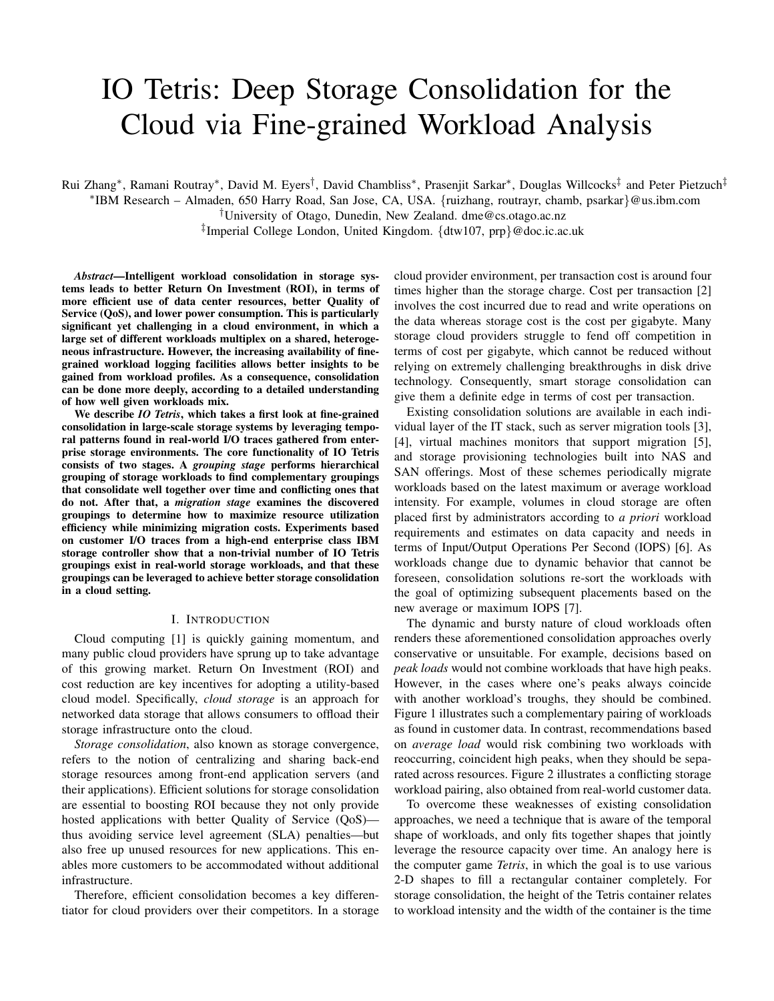# IO Tetris: Deep Storage Consolidation for the Cloud via Fine-grained Workload Analysis

Rui Zhang\*, Ramani Routray\*, David M. Eyers<sup>†</sup>, David Chambliss\*, Prasenjit Sarkar\*, Douglas Willcocks<sup>‡</sup> and Peter Pietzuch<sup>‡</sup> ∗ IBM Research – Almaden, 650 Harry Road, San Jose, CA, USA. {ruizhang, routrayr, chamb, psarkar}@us.ibm.com

†University of Otago, Dunedin, New Zealand. dme@cs.otago.ac.nz

‡ Imperial College London, United Kingdom. {dtw107, prp}@doc.ic.ac.uk

*Abstract*—Intelligent workload consolidation in storage systems leads to better Return On Investment (ROI), in terms of more efficient use of data center resources, better Quality of Service (QoS), and lower power consumption. This is particularly significant yet challenging in a cloud environment, in which a large set of different workloads multiplex on a shared, heterogeneous infrastructure. However, the increasing availability of finegrained workload logging facilities allows better insights to be gained from workload profiles. As a consequence, consolidation can be done more deeply, according to a detailed understanding of how well given workloads mix.

We describe *IO Tetris*, which takes a first look at fine-grained consolidation in large-scale storage systems by leveraging temporal patterns found in real-world I/O traces gathered from enterprise storage environments. The core functionality of IO Tetris consists of two stages. A *grouping stage* performs hierarchical grouping of storage workloads to find complementary groupings that consolidate well together over time and conflicting ones that do not. After that, a *migration stage* examines the discovered groupings to determine how to maximize resource utilization efficiency while minimizing migration costs. Experiments based on customer I/O traces from a high-end enterprise class IBM storage controller show that a non-trivial number of IO Tetris groupings exist in real-world storage workloads, and that these groupings can be leveraged to achieve better storage consolidation in a cloud setting.

#### I. INTRODUCTION

Cloud computing [1] is quickly gaining momentum, and many public cloud providers have sprung up to take advantage of this growing market. Return On Investment (ROI) and cost reduction are key incentives for adopting a utility-based cloud model. Specifically, *cloud storage* is an approach for networked data storage that allows consumers to offload their storage infrastructure onto the cloud.

*Storage consolidation*, also known as storage convergence, refers to the notion of centralizing and sharing back-end storage resources among front-end application servers (and their applications). Efficient solutions for storage consolidation are essential to boosting ROI because they not only provide hosted applications with better Quality of Service (QoS) thus avoiding service level agreement (SLA) penalties—but also free up unused resources for new applications. This enables more customers to be accommodated without additional infrastructure.

Therefore, efficient consolidation becomes a key differentiator for cloud providers over their competitors. In a storage cloud provider environment, per transaction cost is around four times higher than the storage charge. Cost per transaction [2] involves the cost incurred due to read and write operations on the data whereas storage cost is the cost per gigabyte. Many storage cloud providers struggle to fend off competition in terms of cost per gigabyte, which cannot be reduced without relying on extremely challenging breakthroughs in disk drive technology. Consequently, smart storage consolidation can give them a definite edge in terms of cost per transaction.

Existing consolidation solutions are available in each individual layer of the IT stack, such as server migration tools [3], [4], virtual machines monitors that support migration [5], and storage provisioning technologies built into NAS and SAN offerings. Most of these schemes periodically migrate workloads based on the latest maximum or average workload intensity. For example, volumes in cloud storage are often placed first by administrators according to *a priori* workload requirements and estimates on data capacity and needs in terms of Input/Output Operations Per Second (IOPS) [6]. As workloads change due to dynamic behavior that cannot be foreseen, consolidation solutions re-sort the workloads with the goal of optimizing subsequent placements based on the new average or maximum IOPS [7].

The dynamic and bursty nature of cloud workloads often renders these aforementioned consolidation approaches overly conservative or unsuitable. For example, decisions based on *peak loads* would not combine workloads that have high peaks. However, in the cases where one's peaks always coincide with another workload's troughs, they should be combined. Figure 1 illustrates such a complementary pairing of workloads as found in customer data. In contrast, recommendations based on *average load* would risk combining two workloads with reoccurring, coincident high peaks, when they should be separated across resources. Figure 2 illustrates a conflicting storage workload pairing, also obtained from real-world customer data.

To overcome these weaknesses of existing consolidation approaches, we need a technique that is aware of the temporal shape of workloads, and only fits together shapes that jointly leverage the resource capacity over time. An analogy here is the computer game *Tetris*, in which the goal is to use various 2-D shapes to fill a rectangular container completely. For storage consolidation, the height of the Tetris container relates to workload intensity and the width of the container is the time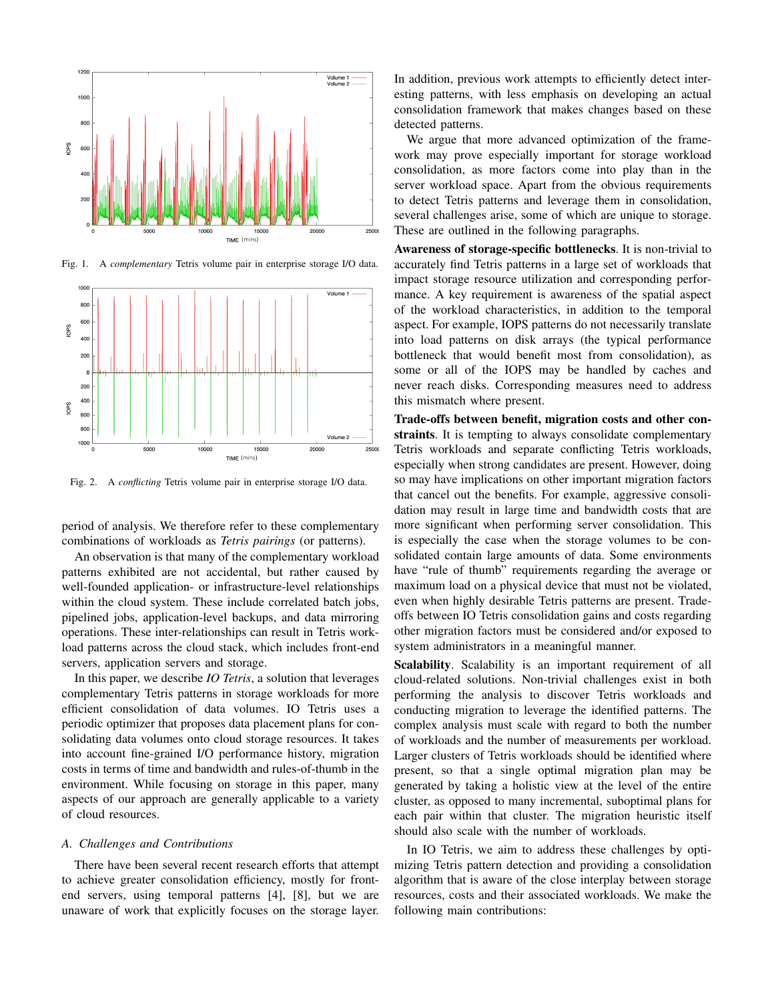

Fig. 1. A *complementary* Tetris volume pair in enterprise storage I/O data.



Fig. 2. A *conflicting* Tetris volume pair in enterprise storage I/O data.

period of analysis. We therefore refer to these complementary combinations of workloads as *Tetris pairings* (or patterns).

An observation is that many of the complementary workload patterns exhibited are not accidental, but rather caused by well-founded application- or infrastructure-level relationships within the cloud system. These include correlated batch jobs, pipelined jobs, application-level backups, and data mirroring operations. These inter-relationships can result in Tetris workload patterns across the cloud stack, which includes front-end servers, application servers and storage.

In this paper, we describe *IO Tetris*, a solution that leverages complementary Tetris patterns in storage workloads for more efficient consolidation of data volumes. IO Tetris uses a periodic optimizer that proposes data placement plans for consolidating data volumes onto cloud storage resources. It takes into account fine-grained I/O performance history, migration costs in terms of time and bandwidth and rules-of-thumb in the environment. While focusing on storage in this paper, many aspects of our approach are generally applicable to a variety of cloud resources.

#### *A. Challenges and Contributions*

There have been several recent research efforts that attempt to achieve greater consolidation efficiency, mostly for frontend servers, using temporal patterns [4], [8], but we are unaware of work that explicitly focuses on the storage layer.

In addition, previous work attempts to efficiently detect interesting patterns, with less emphasis on developing an actual consolidation framework that makes changes based on these detected patterns.

We argue that more advanced optimization of the framework may prove especially important for storage workload consolidation, as more factors come into play than in the server workload space. Apart from the obvious requirements to detect Tetris patterns and leverage them in consolidation, several challenges arise, some of which are unique to storage. These are outlined in the following paragraphs.

Awareness of storage-specific bottlenecks. It is non-trivial to accurately find Tetris patterns in a large set of workloads that impact storage resource utilization and corresponding performance. A key requirement is awareness of the spatial aspect of the workload characteristics, in addition to the temporal aspect. For example, IOPS patterns do not necessarily translate into load patterns on disk arrays (the typical performance bottleneck that would benefit most from consolidation), as some or all of the IOPS may be handled by caches and never reach disks. Corresponding measures need to address this mismatch where present.

Trade-offs between benefit, migration costs and other constraints. It is tempting to always consolidate complementary Tetris workloads and separate conflicting Tetris workloads, especially when strong candidates are present. However, doing so may have implications on other important migration factors that cancel out the benefits. For example, aggressive consolidation may result in large time and bandwidth costs that are more significant when performing server consolidation. This is especially the case when the storage volumes to be consolidated contain large amounts of data. Some environments have "rule of thumb" requirements regarding the average or maximum load on a physical device that must not be violated, even when highly desirable Tetris patterns are present. Tradeoffs between IO Tetris consolidation gains and costs regarding other migration factors must be considered and/or exposed to system administrators in a meaningful manner.

Scalability. Scalability is an important requirement of all cloud-related solutions. Non-trivial challenges exist in both performing the analysis to discover Tetris workloads and conducting migration to leverage the identified patterns. The complex analysis must scale with regard to both the number of workloads and the number of measurements per workload. Larger clusters of Tetris workloads should be identified where present, so that a single optimal migration plan may be generated by taking a holistic view at the level of the entire cluster, as opposed to many incremental, suboptimal plans for each pair within that cluster. The migration heuristic itself should also scale with the number of workloads.

In IO Tetris, we aim to address these challenges by optimizing Tetris pattern detection and providing a consolidation algorithm that is aware of the close interplay between storage resources, costs and their associated workloads. We make the following main contributions: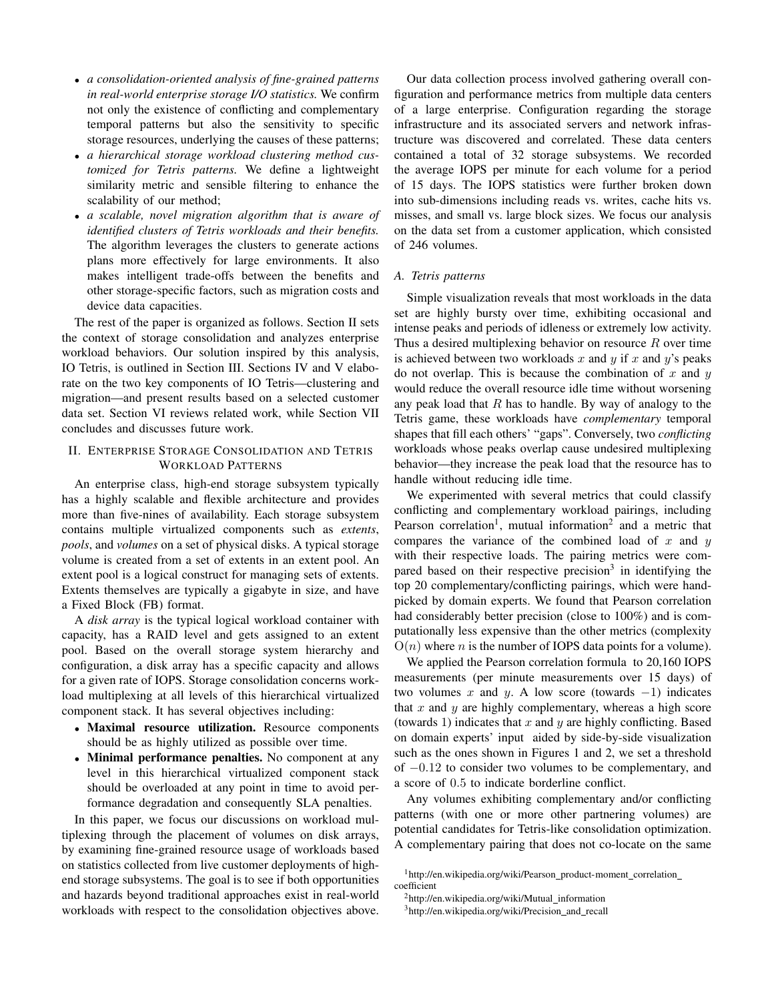- *a consolidation-oriented analysis of fine-grained patterns in real-world enterprise storage I/O statistics.* We confirm not only the existence of conflicting and complementary temporal patterns but also the sensitivity to specific storage resources, underlying the causes of these patterns;
- *a hierarchical storage workload clustering method customized for Tetris patterns.* We define a lightweight similarity metric and sensible filtering to enhance the scalability of our method;
- *a scalable, novel migration algorithm that is aware of identified clusters of Tetris workloads and their benefits.* The algorithm leverages the clusters to generate actions plans more effectively for large environments. It also makes intelligent trade-offs between the benefits and other storage-specific factors, such as migration costs and device data capacities.

The rest of the paper is organized as follows. Section II sets the context of storage consolidation and analyzes enterprise workload behaviors. Our solution inspired by this analysis, IO Tetris, is outlined in Section III. Sections IV and V elaborate on the two key components of IO Tetris—clustering and migration—and present results based on a selected customer data set. Section VI reviews related work, while Section VII concludes and discusses future work.

## II. ENTERPRISE STORAGE CONSOLIDATION AND TETRIS WORKLOAD PATTERNS

An enterprise class, high-end storage subsystem typically has a highly scalable and flexible architecture and provides more than five-nines of availability. Each storage subsystem contains multiple virtualized components such as *extents*, *pools*, and *volumes* on a set of physical disks. A typical storage volume is created from a set of extents in an extent pool. An extent pool is a logical construct for managing sets of extents. Extents themselves are typically a gigabyte in size, and have a Fixed Block (FB) format.

A *disk array* is the typical logical workload container with capacity, has a RAID level and gets assigned to an extent pool. Based on the overall storage system hierarchy and configuration, a disk array has a specific capacity and allows for a given rate of IOPS. Storage consolidation concerns workload multiplexing at all levels of this hierarchical virtualized component stack. It has several objectives including:

- Maximal resource utilization. Resource components should be as highly utilized as possible over time.
- Minimal performance penalties. No component at any level in this hierarchical virtualized component stack should be overloaded at any point in time to avoid performance degradation and consequently SLA penalties.

In this paper, we focus our discussions on workload multiplexing through the placement of volumes on disk arrays, by examining fine-grained resource usage of workloads based on statistics collected from live customer deployments of highend storage subsystems. The goal is to see if both opportunities and hazards beyond traditional approaches exist in real-world workloads with respect to the consolidation objectives above.

Our data collection process involved gathering overall configuration and performance metrics from multiple data centers of a large enterprise. Configuration regarding the storage infrastructure and its associated servers and network infrastructure was discovered and correlated. These data centers contained a total of 32 storage subsystems. We recorded the average IOPS per minute for each volume for a period of 15 days. The IOPS statistics were further broken down into sub-dimensions including reads vs. writes, cache hits vs. misses, and small vs. large block sizes. We focus our analysis on the data set from a customer application, which consisted of 246 volumes.

## *A. Tetris patterns*

Simple visualization reveals that most workloads in the data set are highly bursty over time, exhibiting occasional and intense peaks and periods of idleness or extremely low activity. Thus a desired multiplexing behavior on resource  $R$  over time is achieved between two workloads x and y if x and y's peaks do not overlap. This is because the combination of x and  $y$ would reduce the overall resource idle time without worsening any peak load that  $R$  has to handle. By way of analogy to the Tetris game, these workloads have *complementary* temporal shapes that fill each others' "gaps". Conversely, two *conflicting* workloads whose peaks overlap cause undesired multiplexing behavior—they increase the peak load that the resource has to handle without reducing idle time.

We experimented with several metrics that could classify conflicting and complementary workload pairings, including Pearson correlation<sup>1</sup>, mutual information<sup>2</sup> and a metric that compares the variance of the combined load of  $x$  and  $y$ with their respective loads. The pairing metrics were compared based on their respective precision<sup>3</sup> in identifying the top 20 complementary/conflicting pairings, which were handpicked by domain experts. We found that Pearson correlation had considerably better precision (close to  $100\%$ ) and is computationally less expensive than the other metrics (complexity  $O(n)$  where *n* is the number of IOPS data points for a volume).

We applied the Pearson correlation formula to 20,160 IOPS measurements (per minute measurements over 15 days) of two volumes x and y. A low score (towards  $-1$ ) indicates that  $x$  and  $y$  are highly complementary, whereas a high score (towards 1) indicates that  $x$  and  $y$  are highly conflicting. Based on domain experts' input aided by side-by-side visualization such as the ones shown in Figures 1 and 2, we set a threshold of −0.12 to consider two volumes to be complementary, and a score of 0.5 to indicate borderline conflict.

Any volumes exhibiting complementary and/or conflicting patterns (with one or more other partnering volumes) are potential candidates for Tetris-like consolidation optimization. A complementary pairing that does not co-locate on the same

<sup>2</sup>http://en.wikipedia.org/wiki/Mutual\_information

<sup>1</sup>http://en.wikipedia.org/wiki/Pearson product-moment correlation coefficient

<sup>&</sup>lt;sup>3</sup>http://en.wikipedia.org/wiki/Precision\_and\_recall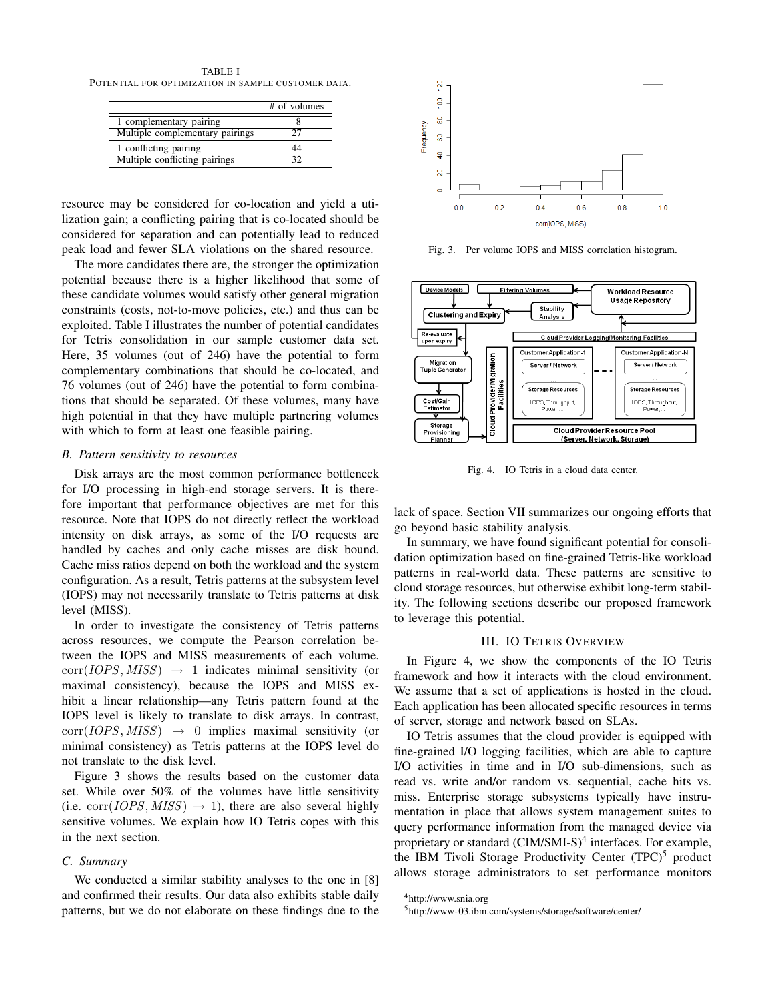TABLE I POTENTIAL FOR OPTIMIZATION IN SAMPLE CUSTOMER DATA.

|                                 | # of volumes |
|---------------------------------|--------------|
| 1 complementary pairing         |              |
| Multiple complementary pairings | フフ           |
| 1 conflicting pairing           | 44           |
| Multiple conflicting pairings   | 20           |

resource may be considered for co-location and yield a utilization gain; a conflicting pairing that is co-located should be considered for separation and can potentially lead to reduced peak load and fewer SLA violations on the shared resource.

The more candidates there are, the stronger the optimization potential because there is a higher likelihood that some of these candidate volumes would satisfy other general migration constraints (costs, not-to-move policies, etc.) and thus can be exploited. Table I illustrates the number of potential candidates for Tetris consolidation in our sample customer data set. Here, 35 volumes (out of 246) have the potential to form complementary combinations that should be co-located, and 76 volumes (out of 246) have the potential to form combinations that should be separated. Of these volumes, many have high potential in that they have multiple partnering volumes with which to form at least one feasible pairing.

#### *B. Pattern sensitivity to resources*

Disk arrays are the most common performance bottleneck for I/O processing in high-end storage servers. It is therefore important that performance objectives are met for this resource. Note that IOPS do not directly reflect the workload intensity on disk arrays, as some of the I/O requests are handled by caches and only cache misses are disk bound. Cache miss ratios depend on both the workload and the system configuration. As a result, Tetris patterns at the subsystem level (IOPS) may not necessarily translate to Tetris patterns at disk level (MISS).

In order to investigate the consistency of Tetris patterns across resources, we compute the Pearson correlation between the IOPS and MISS measurements of each volume.  $corr(IOPS, MISS) \rightarrow 1$  indicates minimal sensitivity (or maximal consistency), because the IOPS and MISS exhibit a linear relationship—any Tetris pattern found at the IOPS level is likely to translate to disk arrays. In contrast,  $corr(IOPS, MISS) \rightarrow 0$  implies maximal sensitivity (or minimal consistency) as Tetris patterns at the IOPS level do not translate to the disk level.

Figure 3 shows the results based on the customer data set. While over 50% of the volumes have little sensitivity (i.e. corr(*IOPS*, *MISS*)  $\rightarrow$  1), there are also several highly sensitive volumes. We explain how IO Tetris copes with this in the next section.

## *C. Summary*

We conducted a similar stability analyses to the one in [8] and confirmed their results. Our data also exhibits stable daily patterns, but we do not elaborate on these findings due to the



Fig. 3. Per volume IOPS and MISS correlation histogram.



Fig. 4. IO Tetris in a cloud data center.

lack of space. Section VII summarizes our ongoing efforts that go beyond basic stability analysis.

In summary, we have found significant potential for consolidation optimization based on fine-grained Tetris-like workload patterns in real-world data. These patterns are sensitive to cloud storage resources, but otherwise exhibit long-term stability. The following sections describe our proposed framework to leverage this potential.

### III. IO TETRIS OVERVIEW

In Figure 4, we show the components of the IO Tetris framework and how it interacts with the cloud environment. We assume that a set of applications is hosted in the cloud. Each application has been allocated specific resources in terms of server, storage and network based on SLAs.

IO Tetris assumes that the cloud provider is equipped with fine-grained I/O logging facilities, which are able to capture I/O activities in time and in I/O sub-dimensions, such as read vs. write and/or random vs. sequential, cache hits vs. miss. Enterprise storage subsystems typically have instrumentation in place that allows system management suites to query performance information from the managed device via proprietary or standard (CIM/SMI-S)<sup>4</sup> interfaces. For example, the IBM Tivoli Storage Productivity Center  $(TPC)^5$  product allows storage administrators to set performance monitors

<sup>4</sup>http://www.snia.org

<sup>5</sup>http://www-03.ibm.com/systems/storage/software/center/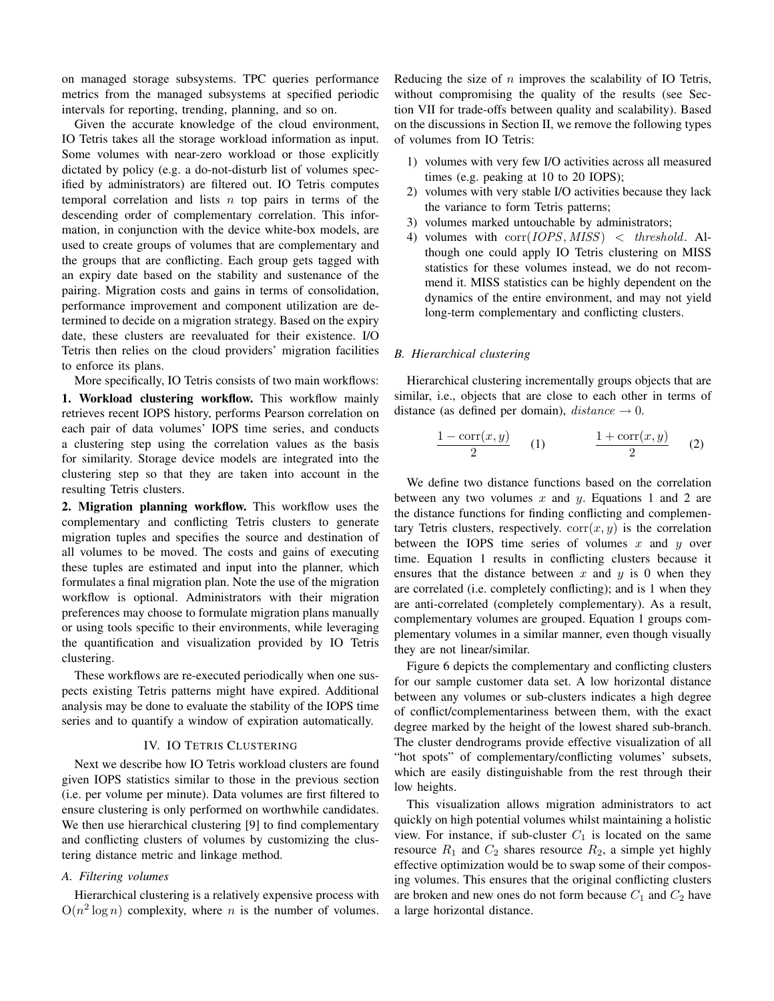on managed storage subsystems. TPC queries performance metrics from the managed subsystems at specified periodic intervals for reporting, trending, planning, and so on.

Given the accurate knowledge of the cloud environment, IO Tetris takes all the storage workload information as input. Some volumes with near-zero workload or those explicitly dictated by policy (e.g. a do-not-disturb list of volumes specified by administrators) are filtered out. IO Tetris computes temporal correlation and lists  $n$  top pairs in terms of the descending order of complementary correlation. This information, in conjunction with the device white-box models, are used to create groups of volumes that are complementary and the groups that are conflicting. Each group gets tagged with an expiry date based on the stability and sustenance of the pairing. Migration costs and gains in terms of consolidation, performance improvement and component utilization are determined to decide on a migration strategy. Based on the expiry date, these clusters are reevaluated for their existence. I/O Tetris then relies on the cloud providers' migration facilities to enforce its plans.

More specifically, IO Tetris consists of two main workflows:

1. Workload clustering workflow. This workflow mainly retrieves recent IOPS history, performs Pearson correlation on each pair of data volumes' IOPS time series, and conducts a clustering step using the correlation values as the basis for similarity. Storage device models are integrated into the clustering step so that they are taken into account in the resulting Tetris clusters.

2. Migration planning workflow. This workflow uses the complementary and conflicting Tetris clusters to generate migration tuples and specifies the source and destination of all volumes to be moved. The costs and gains of executing these tuples are estimated and input into the planner, which formulates a final migration plan. Note the use of the migration workflow is optional. Administrators with their migration preferences may choose to formulate migration plans manually or using tools specific to their environments, while leveraging the quantification and visualization provided by IO Tetris clustering.

These workflows are re-executed periodically when one suspects existing Tetris patterns might have expired. Additional analysis may be done to evaluate the stability of the IOPS time series and to quantify a window of expiration automatically.

## IV. IO TETRIS CLUSTERING

Next we describe how IO Tetris workload clusters are found given IOPS statistics similar to those in the previous section (i.e. per volume per minute). Data volumes are first filtered to ensure clustering is only performed on worthwhile candidates. We then use hierarchical clustering [9] to find complementary and conflicting clusters of volumes by customizing the clustering distance metric and linkage method.

#### *A. Filtering volumes*

Hierarchical clustering is a relatively expensive process with  $O(n^2 \log n)$  complexity, where *n* is the number of volumes. Reducing the size of  $n$  improves the scalability of IO Tetris, without compromising the quality of the results (see Section VII for trade-offs between quality and scalability). Based on the discussions in Section II, we remove the following types of volumes from IO Tetris:

- 1) volumes with very few I/O activities across all measured times (e.g. peaking at 10 to 20 IOPS);
- 2) volumes with very stable I/O activities because they lack the variance to form Tetris patterns;
- 3) volumes marked untouchable by administrators;
- 4) volumes with corr(*IOPS*, *MISS*) < *threshold*. Although one could apply IO Tetris clustering on MISS statistics for these volumes instead, we do not recommend it. MISS statistics can be highly dependent on the dynamics of the entire environment, and may not yield long-term complementary and conflicting clusters.

## *B. Hierarchical clustering*

Hierarchical clustering incrementally groups objects that are similar, i.e., objects that are close to each other in terms of distance (as defined per domain),  $distance \rightarrow 0$ .

$$
\frac{1 - \operatorname{corr}(x, y)}{2} \qquad (1) \qquad \frac{1 + \operatorname{corr}(x, y)}{2} \qquad (2)
$$

We define two distance functions based on the correlation between any two volumes  $x$  and  $y$ . Equations 1 and 2 are the distance functions for finding conflicting and complementary Tetris clusters, respectively.  $corr(x, y)$  is the correlation between the IOPS time series of volumes  $x$  and  $y$  over time. Equation 1 results in conflicting clusters because it ensures that the distance between x and y is 0 when they are correlated (i.e. completely conflicting); and is 1 when they are anti-correlated (completely complementary). As a result, complementary volumes are grouped. Equation 1 groups complementary volumes in a similar manner, even though visually they are not linear/similar.

Figure 6 depicts the complementary and conflicting clusters for our sample customer data set. A low horizontal distance between any volumes or sub-clusters indicates a high degree of conflict/complementariness between them, with the exact degree marked by the height of the lowest shared sub-branch. The cluster dendrograms provide effective visualization of all "hot spots" of complementary/conflicting volumes' subsets, which are easily distinguishable from the rest through their low heights.

This visualization allows migration administrators to act quickly on high potential volumes whilst maintaining a holistic view. For instance, if sub-cluster  $C_1$  is located on the same resource  $R_1$  and  $C_2$  shares resource  $R_2$ , a simple yet highly effective optimization would be to swap some of their composing volumes. This ensures that the original conflicting clusters are broken and new ones do not form because  $C_1$  and  $C_2$  have a large horizontal distance.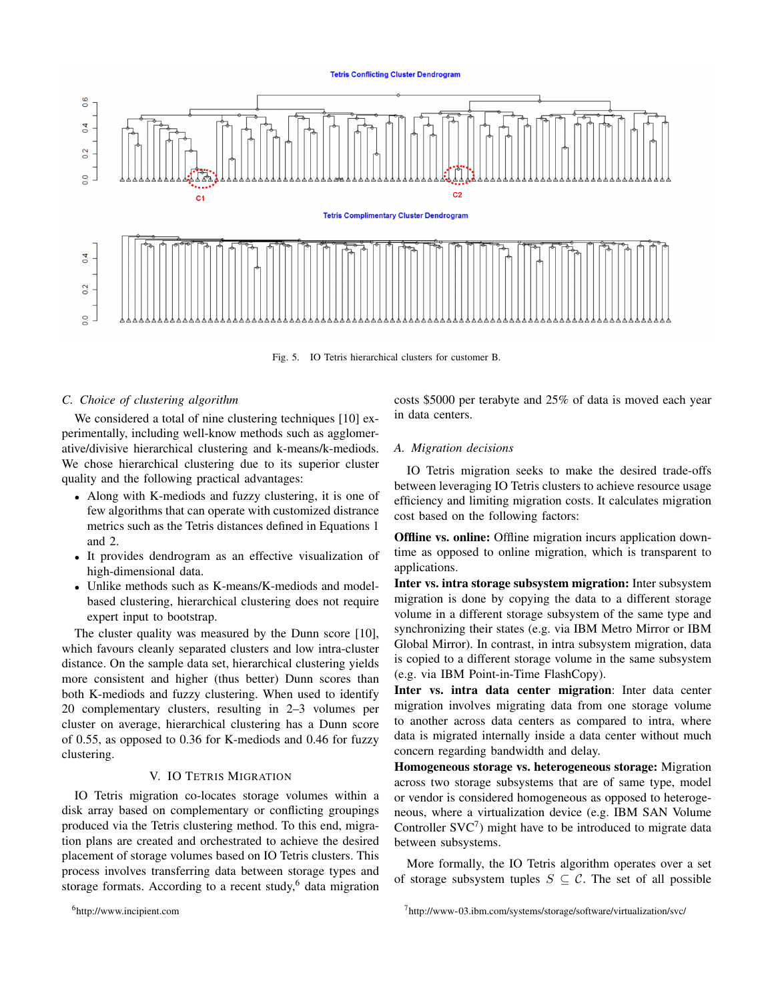

Fig. 5. IO Tetris hierarchical clusters for customer B.

#### *C. Choice of clustering algorithm*

We considered a total of nine clustering techniques [10] experimentally, including well-know methods such as agglomerative/divisive hierarchical clustering and k-means/k-mediods. We chose hierarchical clustering due to its superior cluster quality and the following practical advantages:

- Along with K-mediods and fuzzy clustering, it is one of few algorithms that can operate with customized distrance metrics such as the Tetris distances defined in Equations 1 and 2.
- It provides dendrogram as an effective visualization of high-dimensional data.
- Unlike methods such as K-means/K-mediods and modelbased clustering, hierarchical clustering does not require expert input to bootstrap.

The cluster quality was measured by the Dunn score [10], which favours cleanly separated clusters and low intra-cluster distance. On the sample data set, hierarchical clustering yields more consistent and higher (thus better) Dunn scores than both K-mediods and fuzzy clustering. When used to identify 20 complementary clusters, resulting in 2–3 volumes per cluster on average, hierarchical clustering has a Dunn score of 0.55, as opposed to 0.36 for K-mediods and 0.46 for fuzzy clustering.

## V. IO TETRIS MIGRATION

IO Tetris migration co-locates storage volumes within a disk array based on complementary or conflicting groupings produced via the Tetris clustering method. To this end, migration plans are created and orchestrated to achieve the desired placement of storage volumes based on IO Tetris clusters. This process involves transferring data between storage types and storage formats. According to a recent study, $6$  data migration

costs \$5000 per terabyte and 25% of data is moved each year in data centers.

## *A. Migration decisions*

IO Tetris migration seeks to make the desired trade-offs between leveraging IO Tetris clusters to achieve resource usage efficiency and limiting migration costs. It calculates migration cost based on the following factors:

Offline vs. online: Offline migration incurs application downtime as opposed to online migration, which is transparent to applications.

Inter vs. intra storage subsystem migration: Inter subsystem migration is done by copying the data to a different storage volume in a different storage subsystem of the same type and synchronizing their states (e.g. via IBM Metro Mirror or IBM Global Mirror). In contrast, in intra subsystem migration, data is copied to a different storage volume in the same subsystem (e.g. via IBM Point-in-Time FlashCopy).

Inter vs. intra data center migration: Inter data center migration involves migrating data from one storage volume to another across data centers as compared to intra, where data is migrated internally inside a data center without much concern regarding bandwidth and delay.

Homogeneous storage vs. heterogeneous storage: Migration across two storage subsystems that are of same type, model or vendor is considered homogeneous as opposed to heterogeneous, where a virtualization device (e.g. IBM SAN Volume Controller  $SVC<sup>7</sup>$ ) might have to be introduced to migrate data between subsystems.

More formally, the IO Tetris algorithm operates over a set of storage subsystem tuples  $S \subseteq \mathcal{C}$ . The set of all possible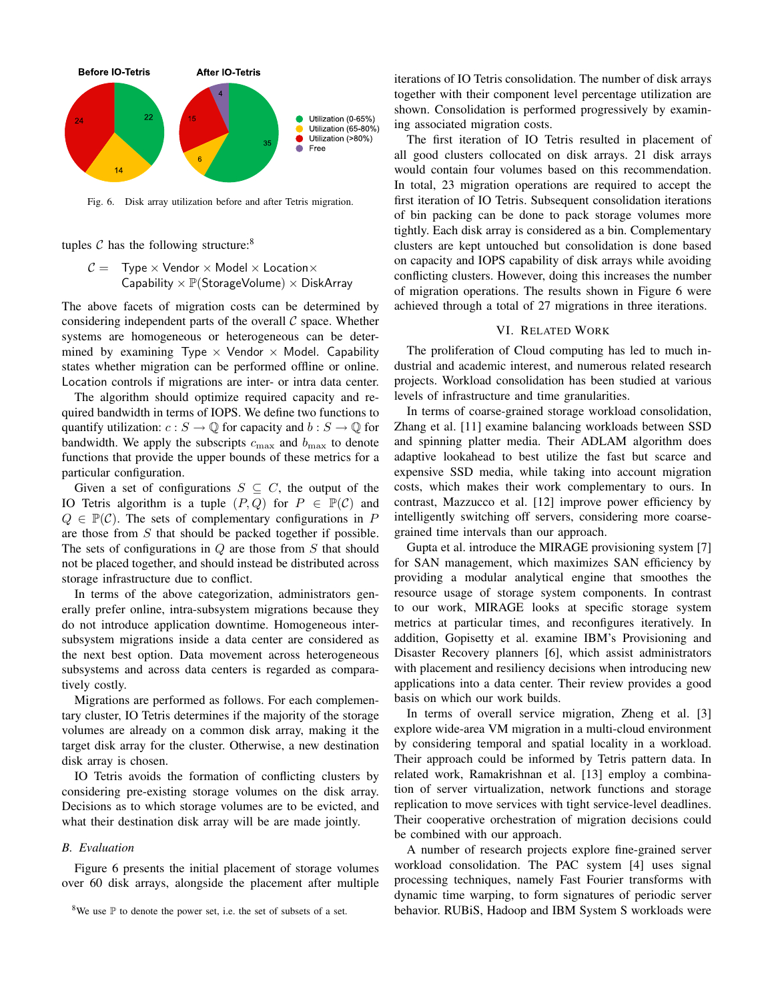

Fig. 6. Disk array utilization before and after Tetris migration.

tuples  $C$  has the following structure:<sup>8</sup>

 $C =$  Type  $\times$  Vendor  $\times$  Model  $\times$  Location $\times$ Capability  $\times$   $\mathbb{P}$ (StorageVolume)  $\times$  DiskArray

The above facets of migration costs can be determined by considering independent parts of the overall  $\mathcal C$  space. Whether systems are homogeneous or heterogeneous can be determined by examining Type  $\times$  Vendor  $\times$  Model. Capability states whether migration can be performed offline or online. Location controls if migrations are inter- or intra data center.

The algorithm should optimize required capacity and required bandwidth in terms of IOPS. We define two functions to quantify utilization:  $c : S \to \mathbb{Q}$  for capacity and  $b : S \to \mathbb{Q}$  for bandwidth. We apply the subscripts  $c_{\text{max}}$  and  $b_{\text{max}}$  to denote functions that provide the upper bounds of these metrics for a particular configuration.

Given a set of configurations  $S \subseteq C$ , the output of the IO Tetris algorithm is a tuple  $(P, Q)$  for  $P \in \mathbb{P}(\mathcal{C})$  and  $Q \in \mathbb{P}(\mathcal{C})$ . The sets of complementary configurations in P are those from S that should be packed together if possible. The sets of configurations in  $Q$  are those from  $S$  that should not be placed together, and should instead be distributed across storage infrastructure due to conflict.

In terms of the above categorization, administrators generally prefer online, intra-subsystem migrations because they do not introduce application downtime. Homogeneous intersubsystem migrations inside a data center are considered as the next best option. Data movement across heterogeneous subsystems and across data centers is regarded as comparatively costly.

Migrations are performed as follows. For each complementary cluster, IO Tetris determines if the majority of the storage volumes are already on a common disk array, making it the target disk array for the cluster. Otherwise, a new destination disk array is chosen.

IO Tetris avoids the formation of conflicting clusters by considering pre-existing storage volumes on the disk array. Decisions as to which storage volumes are to be evicted, and what their destination disk array will be are made jointly.

## *B. Evaluation*

Figure 6 presents the initial placement of storage volumes over 60 disk arrays, alongside the placement after multiple iterations of IO Tetris consolidation. The number of disk arrays together with their component level percentage utilization are shown. Consolidation is performed progressively by examining associated migration costs.

The first iteration of IO Tetris resulted in placement of all good clusters collocated on disk arrays. 21 disk arrays would contain four volumes based on this recommendation. In total, 23 migration operations are required to accept the first iteration of IO Tetris. Subsequent consolidation iterations of bin packing can be done to pack storage volumes more tightly. Each disk array is considered as a bin. Complementary clusters are kept untouched but consolidation is done based on capacity and IOPS capability of disk arrays while avoiding conflicting clusters. However, doing this increases the number of migration operations. The results shown in Figure 6 were achieved through a total of 27 migrations in three iterations.

## VI. RELATED WORK

The proliferation of Cloud computing has led to much industrial and academic interest, and numerous related research projects. Workload consolidation has been studied at various levels of infrastructure and time granularities.

In terms of coarse-grained storage workload consolidation, Zhang et al. [11] examine balancing workloads between SSD and spinning platter media. Their ADLAM algorithm does adaptive lookahead to best utilize the fast but scarce and expensive SSD media, while taking into account migration costs, which makes their work complementary to ours. In contrast, Mazzucco et al. [12] improve power efficiency by intelligently switching off servers, considering more coarsegrained time intervals than our approach.

Gupta et al. introduce the MIRAGE provisioning system [7] for SAN management, which maximizes SAN efficiency by providing a modular analytical engine that smoothes the resource usage of storage system components. In contrast to our work, MIRAGE looks at specific storage system metrics at particular times, and reconfigures iteratively. In addition, Gopisetty et al. examine IBM's Provisioning and Disaster Recovery planners [6], which assist administrators with placement and resiliency decisions when introducing new applications into a data center. Their review provides a good basis on which our work builds.

In terms of overall service migration, Zheng et al. [3] explore wide-area VM migration in a multi-cloud environment by considering temporal and spatial locality in a workload. Their approach could be informed by Tetris pattern data. In related work, Ramakrishnan et al. [13] employ a combination of server virtualization, network functions and storage replication to move services with tight service-level deadlines. Their cooperative orchestration of migration decisions could be combined with our approach.

A number of research projects explore fine-grained server workload consolidation. The PAC system [4] uses signal processing techniques, namely Fast Fourier transforms with dynamic time warping, to form signatures of periodic server behavior. RUBiS, Hadoop and IBM System S workloads were

 $8$ We use  $P$  to denote the power set, i.e. the set of subsets of a set.